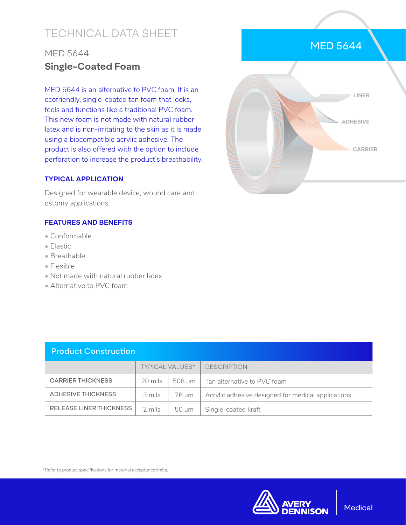# TECHNICAL DATA SHEET

## MED 5644 **Single-Coated Foam**

MED 5644 is an alternative to PVC foam. It is an ecofriendly, single-coated tan foam that looks, feels and functions like a traditional PVC foam. This new foam is not made with natural rubber latex and is non-irritating to the skin as it is made using a biocompatible acrylic adhesive. The product is also offered with the option to include perforation to increase the product's breathability.

#### **TYPICAL APPLICATION**

Designed for wearable device, wound care and ostomy applications.

### **FEATURES AND BENEFITS**

- Conformable
- Elastic
- Breathable
- Flexible
- Not made with natural rubber latex
- Alternative to PVC foam



\*Refer to product specifications for material acceptance limits.



## MED 5644